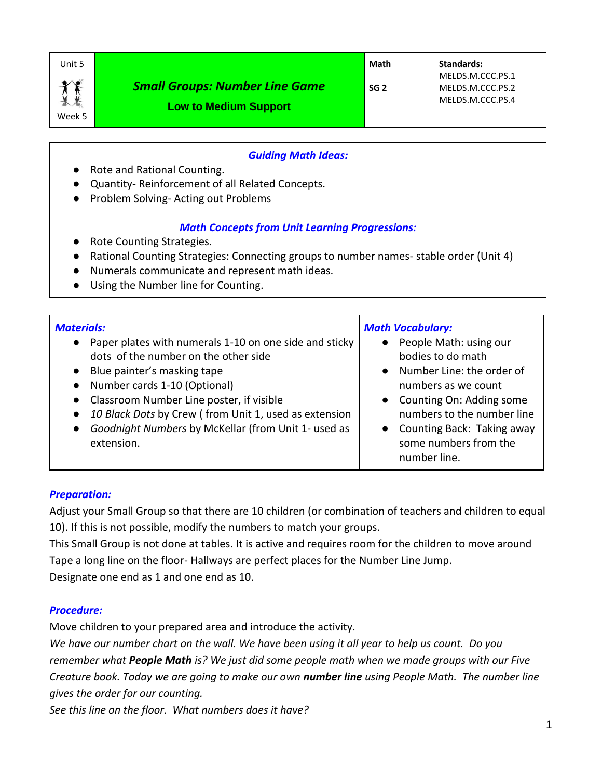| Unit 5              |                                                                       | Math            | <b>Standards:</b>                                        |
|---------------------|-----------------------------------------------------------------------|-----------------|----------------------------------------------------------|
| $\bullet$<br>Week 5 | <b>Small Groups: Number Line Game</b><br><b>Low to Medium Support</b> | SG <sub>2</sub> | MELDS.M.CCC.PS.1<br>MELDS.M.CCC.PS.2<br>MELDS.M.CCC.PS.4 |

### *Guiding Math Ideas:*

- Rote and Rational Counting.
- Quantity- Reinforcement of all Related Concepts.
- Problem Solving-Acting out Problems

#### *Math Concepts from Unit Learning Progressions:*

- Rote Counting Strategies.
- Rational Counting Strategies: Connecting groups to number names- stable order (Unit 4)
- Numerals communicate and represent math ideas.
- Using the Number line for Counting.

| <b>Materials:</b><br>Paper plates with numerals 1-10 on one side and sticky<br>$\bullet$<br>dots of the number on the other side<br>• Blue painter's masking tape<br>Number cards 1-10 (Optional)<br>$\bullet$<br>• Classroom Number Line poster, if visible<br>10 Black Dots by Crew (from Unit 1, used as extension<br>Goodnight Numbers by McKellar (from Unit 1- used as<br>$\bullet$<br>extension. | <b>Math Vocabulary:</b><br>People Math: using our<br>$\bullet$<br>bodies to do math<br>Number Line: the order of<br>$\bullet$<br>numbers as we count<br>Counting On: Adding some<br>$\bullet$<br>numbers to the number line<br>Counting Back: Taking away<br>$\bullet$<br>some numbers from the<br>number line. |
|---------------------------------------------------------------------------------------------------------------------------------------------------------------------------------------------------------------------------------------------------------------------------------------------------------------------------------------------------------------------------------------------------------|-----------------------------------------------------------------------------------------------------------------------------------------------------------------------------------------------------------------------------------------------------------------------------------------------------------------|
|---------------------------------------------------------------------------------------------------------------------------------------------------------------------------------------------------------------------------------------------------------------------------------------------------------------------------------------------------------------------------------------------------------|-----------------------------------------------------------------------------------------------------------------------------------------------------------------------------------------------------------------------------------------------------------------------------------------------------------------|

### *Preparation:*

Adjust your Small Group so that there are 10 children (or combination of teachers and children to equal 10). If this is not possible, modify the numbers to match your groups.

This Small Group is not done at tables. It is active and requires room for the children to move around Tape a long line on the floor- Hallways are perfect places for the Number Line Jump.

Designate one end as 1 and one end as 10.

#### *Procedure:*

Move children to your prepared area and introduce the activity.

*We have our number chart on the wall. We have been using it all year to help us count. Do you remember what People Math is? We just did some people math when we made groups with our Five Creature book. Today we are going to make our own number line using People Math. The number line gives the order for our counting.* 

*See this line on the floor. What numbers does it have?*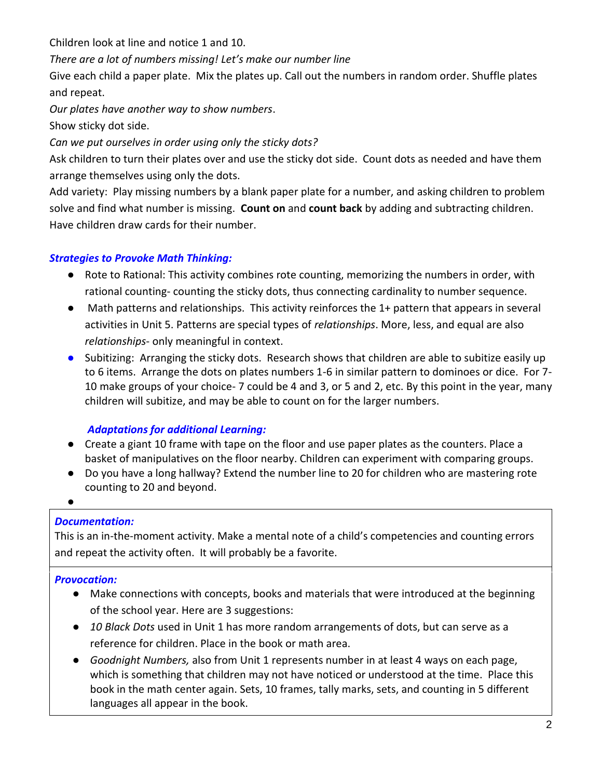Children look at line and notice 1 and 10.

## *There are a lot of numbers missing! Let's make our number line*

Give each child a paper plate. Mix the plates up. Call out the numbers in random order. Shuffle plates and repeat.

*Our plates have another way to show numbers*.

Show sticky dot side.

*Can we put ourselves in order using only the sticky dots?*

Ask children to turn their plates over and use the sticky dot side. Count dots as needed and have them arrange themselves using only the dots.

Add variety: Play missing numbers by a blank paper plate for a number, and asking children to problem solve and find what number is missing. **Count on** and **count back** by adding and subtracting children. Have children draw cards for their number.

## *Strategies to Provoke Math Thinking:*

- Rote to Rational: This activity combines rote counting, memorizing the numbers in order, with rational counting- counting the sticky dots, thus connecting cardinality to number sequence.
- Math patterns and relationships. This activity reinforces the 1+ pattern that appears in several activities in Unit 5. Patterns are special types of *relationships*. More, less, and equal are also *relationships*- only meaningful in context.
- Subitizing: Arranging the sticky dots. Research shows that children are able to subitize easily up to 6 items. Arrange the dots on plates numbers 1-6 in similar pattern to dominoes or dice. For 7- 10 make groups of your choice- 7 could be 4 and 3, or 5 and 2, etc. By this point in the year, many children will subitize, and may be able to count on for the larger numbers.

# *Adaptations for additional Learning:*

- Create a giant 10 frame with tape on the floor and use paper plates as the counters. Place a basket of manipulatives on the floor nearby. Children can experiment with comparing groups.
- Do you have a long hallway? Extend the number line to 20 for children who are mastering rote counting to 20 and beyond.
- $\bullet$

# *Documentation:*

This is an in-the-moment activity. Make a mental note of a child's competencies and counting errors and repeat the activity often. It will probably be a favorite.

# *Provocation:*

- Make connections with concepts, books and materials that were introduced at the beginning of the school year. Here are 3 suggestions:
- *10 Black Dots* used in Unit 1 has more random arrangements of dots, but can serve as a reference for children. Place in the book or math area.
- *Goodnight Numbers,* also from Unit 1 represents number in at least 4 ways on each page, which is something that children may not have noticed or understood at the time. Place this book in the math center again. Sets, 10 frames, tally marks, sets, and counting in 5 different languages all appear in the book.